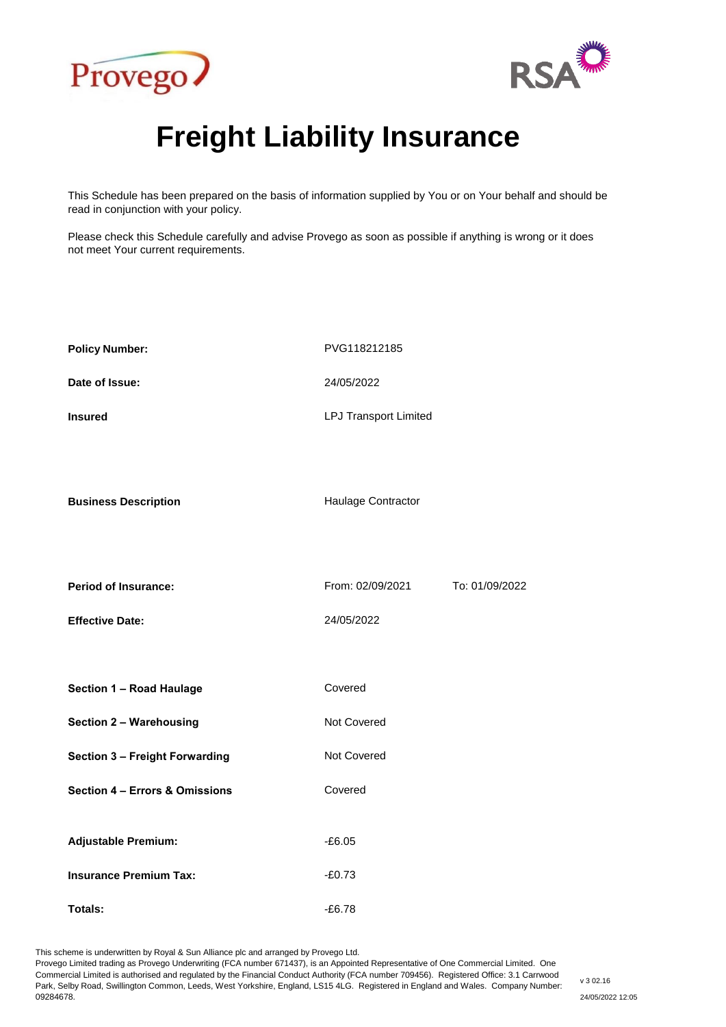



# **Freight Liability Insurance**

This Schedule has been prepared on the basis of information supplied by You or on Your behalf and should be read in conjunction with your policy.

Please check this Schedule carefully and advise Provego as soon as possible if anything is wrong or it does not meet Your current requirements.

| <b>Policy Number:</b>          | PVG118212185                 |                |
|--------------------------------|------------------------------|----------------|
| Date of Issue:                 | 24/05/2022                   |                |
| <b>Insured</b>                 | <b>LPJ Transport Limited</b> |                |
| <b>Business Description</b>    | Haulage Contractor           |                |
| Period of Insurance:           | From: 02/09/2021             | To: 01/09/2022 |
| <b>Effective Date:</b>         | 24/05/2022                   |                |
|                                |                              |                |
| Section 1 - Road Haulage       | Covered                      |                |
| <b>Section 2 - Warehousing</b> | Not Covered                  |                |
| Section 3 - Freight Forwarding | Not Covered                  |                |
| Section 4 - Errors & Omissions | Covered                      |                |
| <b>Adjustable Premium:</b>     | $-£6.05$                     |                |
| <b>Insurance Premium Tax:</b>  | $-£0.73$                     |                |
| Totals:                        | $-£6.78$                     |                |

This scheme is underwritten by Royal & Sun Alliance plc and arranged by Provego Ltd.

Provego Limited trading as Provego Underwriting (FCA number 671437), is an Appointed Representative of One Commercial Limited. One Commercial Limited is authorised and regulated by the Financial Conduct Authority (FCA number 709456). Registered Office: 3.1 Carrwood Park, Selby Road, Swillington Common, Leeds, West Yorkshire, England, LS15 4LG. Registered in England and Wales. Company Number: 09284678.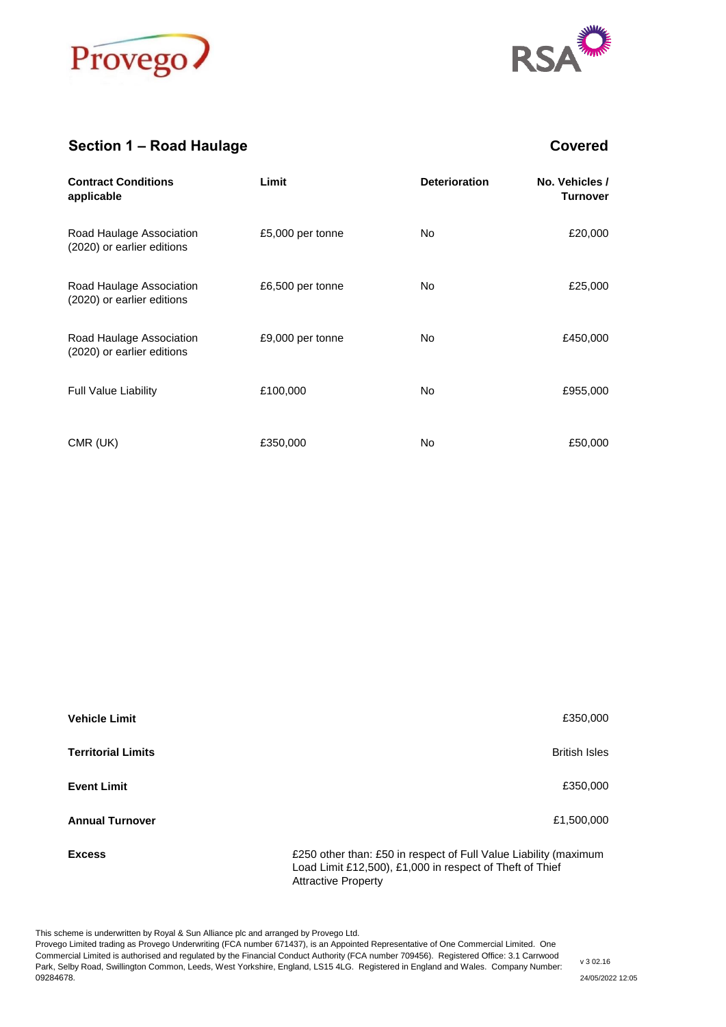



## **Section 1 – Road Haulage Covered**

| <b>Contract Conditions</b><br>applicable               | Limit            | <b>Deterioration</b> | No. Vehicles /<br><b>Turnover</b> |
|--------------------------------------------------------|------------------|----------------------|-----------------------------------|
| Road Haulage Association<br>(2020) or earlier editions | £5,000 per tonne | No.                  | £20,000                           |
| Road Haulage Association<br>(2020) or earlier editions | £6,500 per tonne | No.                  | £25,000                           |
| Road Haulage Association<br>(2020) or earlier editions | £9,000 per tonne | No.                  | £450,000                          |
| <b>Full Value Liability</b>                            | £100,000         | No.                  | £955,000                          |
| CMR (UK)                                               | £350,000         | No.                  | £50,000                           |

| <b>Vehicle Limit</b>      | £350,000                                                                                                                                                   |
|---------------------------|------------------------------------------------------------------------------------------------------------------------------------------------------------|
| <b>Territorial Limits</b> | <b>British Isles</b>                                                                                                                                       |
| <b>Event Limit</b>        | £350,000                                                                                                                                                   |
| <b>Annual Turnover</b>    | £1,500,000                                                                                                                                                 |
| <b>Excess</b>             | £250 other than: £50 in respect of Full Value Liability (maximum<br>Load Limit £12,500), £1,000 in respect of Theft of Thief<br><b>Attractive Property</b> |

This scheme is underwritten by Royal & Sun Alliance plc and arranged by Provego Ltd.

Provego Limited trading as Provego Underwriting (FCA number 671437), is an Appointed Representative of One Commercial Limited. One Commercial Limited is authorised and regulated by the Financial Conduct Authority (FCA number 709456). Registered Office: 3.1 Carrwood Park, Selby Road, Swillington Common, Leeds, West Yorkshire, England, LS15 4LG. Registered in England and Wales. Company Number: 09284678.

v 3 02.16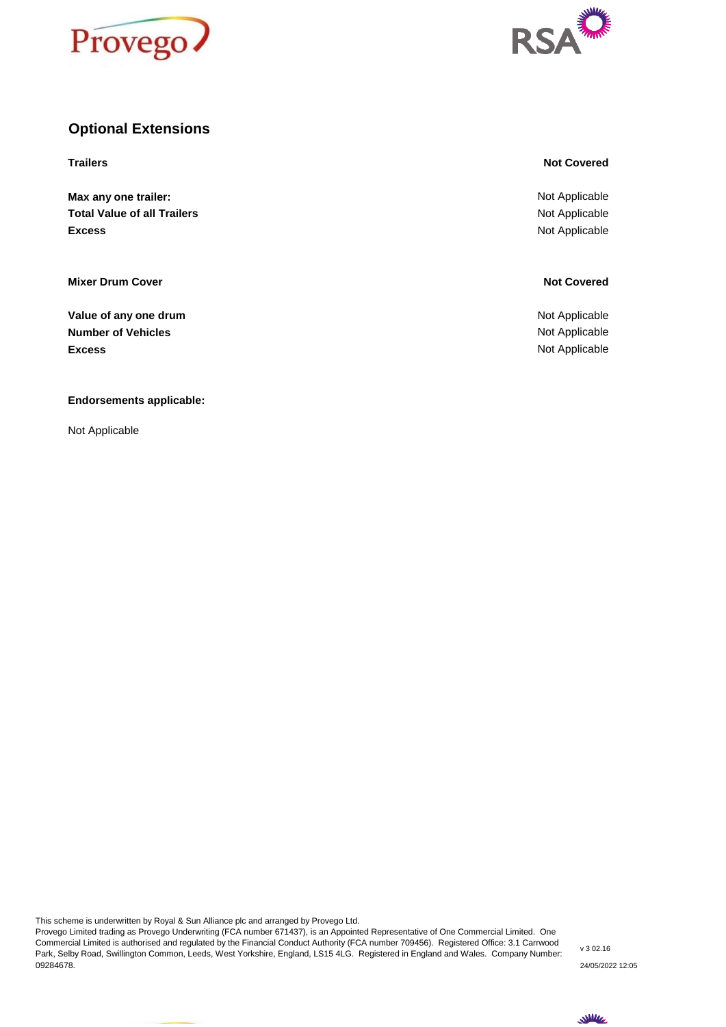



#### **Optional Extensions**

**Max any one trailer: Total Value of all Trailers Excess**

**Mixer Drum Cover Not Covered** 

**Excess** Not Applicable **Value of any one drum** Not Applicable **Value of any one drum Number of Vehicles** Not Applicable Not Applicable Not Applicable Not Applicable Not Applicable

**Endorsements applicable:**

Not Applicable

#### **Trailers Not Covered**

Not Applicable Not Applicable Not Applicable

This scheme is underwritten by Royal & Sun Alliance plc and arranged by Provego Ltd.

Provego Limited trading as Provego Underwriting (FCA number 671437), is an Appointed Representative of One Commercial Limited. One Commercial Limited is authorised and regulated by the Financial Conduct Authority (FCA number 709456). Registered Office: 3.1 Carrwood Park, Selby Road, Swillington Common, Leeds, West Yorkshire, England, LS15 4LG. Registered in England and Wales. Company Number: 09284678.

v 3 02.16 24/05/2022 12:05

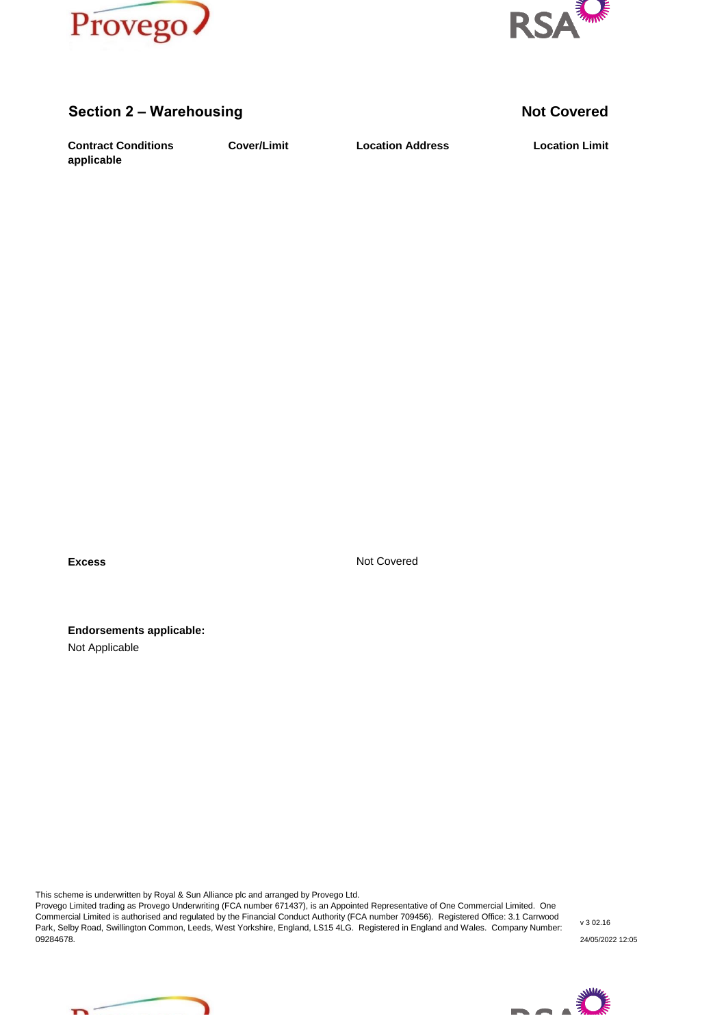



#### **Section 2 – Warehousing <b>Not Covered Not Covered**

**Contract Conditions Cover/Limit** Location Address Location Limit **applicable**

**Cover/Limit Location Address**

**Excess** Not Covered

**Endorsements applicable:** Not Applicable

This scheme is underwritten by Royal & Sun Alliance plc and arranged by Provego Ltd.

Provego Limited trading as Provego Underwriting (FCA number 671437), is an Appointed Representative of One Commercial Limited. One Commercial Limited is authorised and regulated by the Financial Conduct Authority (FCA number 709456). Registered Office: 3.1 Carrwood Park, Selby Road, Swillington Common, Leeds, West Yorkshire, England, LS15 4LG. Registered in England and Wales. Company Number: 09284678.

v 3 02.16 24/05/2022 12:05



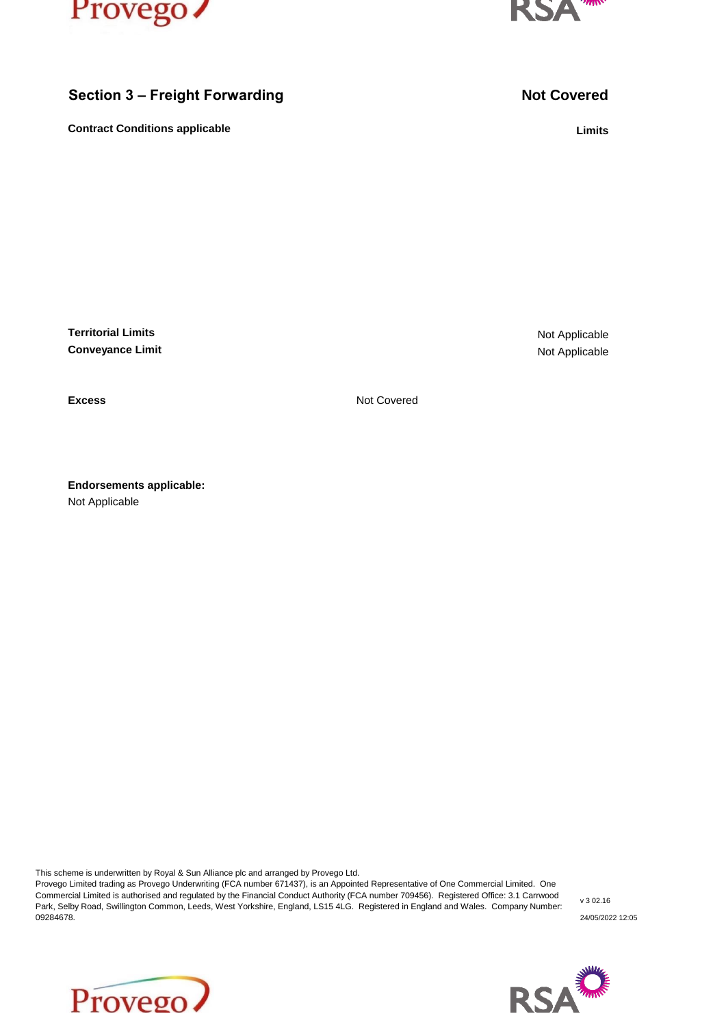



## **Section 3 – Freight Forwarding <b>Not Covered Not Covered**

**Contract Conditions applicable Limits** 

**Territorial Limits Conveyance Limit**

Not Applicable Not Applicable

**Excess** Not Covered

Not Applicable **Endorsements applicable:**

This scheme is underwritten by Royal & Sun Alliance plc and arranged by Provego Ltd.

Provego Limited trading as Provego Underwriting (FCA number 671437), is an Appointed Representative of One Commercial Limited. One Commercial Limited is authorised and regulated by the Financial Conduct Authority (FCA number 709456). Registered Office: 3.1 Carrwood Park, Selby Road, Swillington Common, Leeds, West Yorkshire, England, LS15 4LG. Registered in England and Wales. Company Number: 09284678.





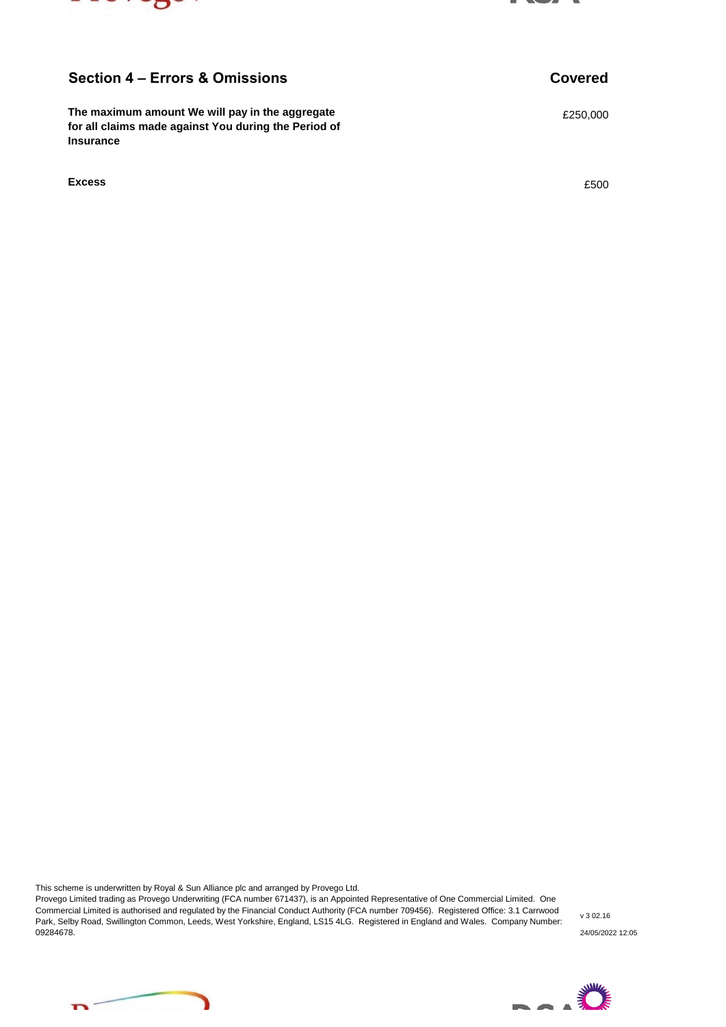



#### **Section 4 – Errors & Omissions Covered**

**The maximum amount We will pay in the aggregate EXACTE 1000 EXACTE 1000 EXACTE 1000 for all claims made against You during the Period of Insurance**

**Excess** £500

This scheme is underwritten by Royal & Sun Alliance plc and arranged by Provego Ltd.

Provego Limited trading as Provego Underwriting (FCA number 671437), is an Appointed Representative of One Commercial Limited. One Commercial Limited is authorised and regulated by the Financial Conduct Authority (FCA number 709456). Registered Office: 3.1 Carrwood Park, Selby Road, Swillington Common, Leeds, West Yorkshire, England, LS15 4LG. Registered in England and Wales. Company Number: 09284678. 24/05/2022 12:05

v 3 02.16



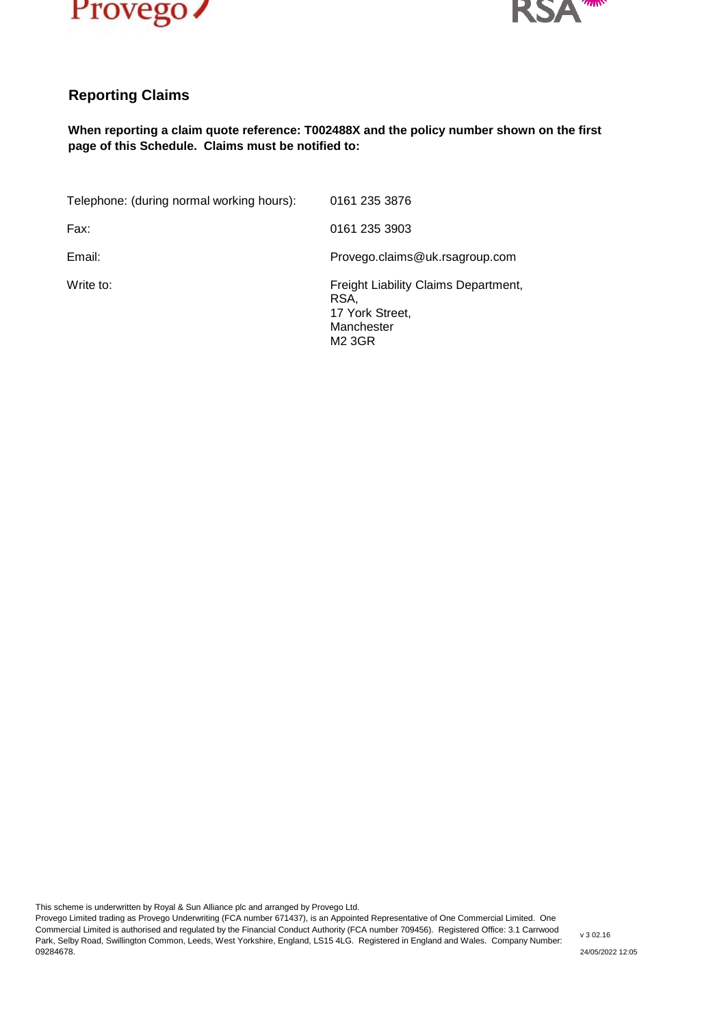



### **Reporting Claims**

#### **When reporting a claim quote reference: T002488X and the policy number shown on the first page of this Schedule. Claims must be notified to:**

| Telephone: (during normal working hours): | 0161 235 3876                                                                           |
|-------------------------------------------|-----------------------------------------------------------------------------------------|
| Fax:                                      | 0161 235 3903                                                                           |
| Email:                                    | Provego.claims@uk.rsagroup.com                                                          |
| Write to:                                 | Freight Liability Claims Department,<br>RSA,<br>17 York Street,<br>Manchester<br>M2 3GR |

This scheme is underwritten by Royal & Sun Alliance plc and arranged by Provego Ltd.

Provego Limited trading as Provego Underwriting (FCA number 671437), is an Appointed Representative of One Commercial Limited. One Commercial Limited is authorised and regulated by the Financial Conduct Authority (FCA number 709456). Registered Office: 3.1 Carrwood Park, Selby Road, Swillington Common, Leeds, West Yorkshire, England, LS15 4LG. Registered in England and Wales. Company Number: 09284678.

v 3 02.16

24/05/2022 12:05